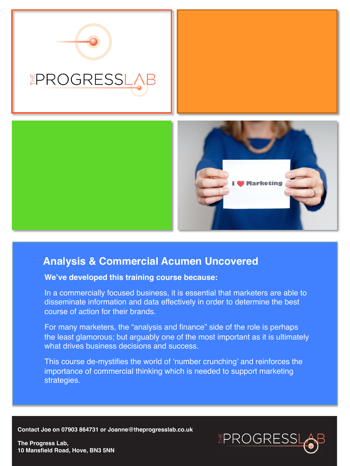

# **Analysis & Commercial Acumen Uncovered**

#### **We've developed this training course because:**

In a commercially focused business, it is essential that marketers are able to disseminate information and data effectively in order to determine the best course of action for their brands.

For many marketers, the "analysis and finance" side of the role is perhaps the least glamorous; but arguably one of the most important as it is ultimately what drives business decisions and success.

This course de-mystifies the world of 'number crunching' and reinforces the importance of commercial thinking which is needed to support marketing strategies.

**Contact Joe on 07903 864731 or Joanne@theprogresslab.co.uk**



**The Progress Lab, 10 Mansfield Road, Hove, BN3 5NN**